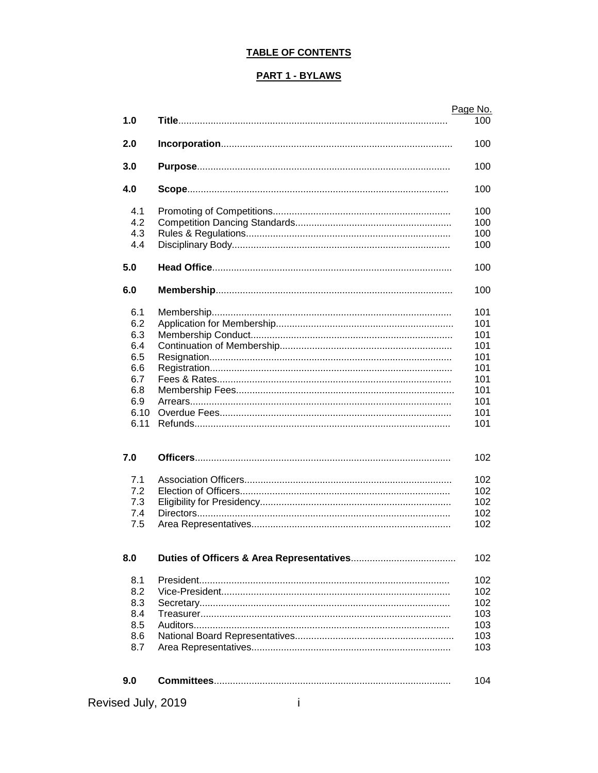## **TABLE OF CONTENTS**

#### **PART 1 - BYLAWS**

|                |   | Page No. |
|----------------|---|----------|
| 1.0            |   | 100      |
|                |   |          |
| 2.0            |   | 100      |
|                |   |          |
| 3.0            |   | 100      |
| 4.0            |   | 100      |
| 4.1            |   | 100      |
| 4.2            |   | 100      |
| 4.3            |   | 100      |
| 4.4            |   | 100      |
| 5.0            |   | 100      |
|                |   |          |
| 6.0            |   | 100      |
| 6.1            |   | 101      |
| 6.2            |   | 101      |
| 6.3            |   | 101      |
| 6.4            |   | 101      |
| 6.5            |   | 101      |
| 6.6            |   | 101      |
| 6.7            |   | 101      |
| 6.8            |   | 101      |
| 6.9            |   | 101      |
| 6.10           |   | 101      |
| 6.11           |   | 101      |
| 7.0            |   | 102      |
|                |   |          |
| 7.1            |   | 102      |
| 7.2            |   | 102      |
| 7.3            |   | 102      |
| 7.4            |   | 102      |
| 7.5            |   | 102      |
| 8.0            |   | 102      |
|                |   |          |
| 8.1            |   | 102      |
| 8.2            |   | 102      |
| 8.3            |   | 102      |
| 8.4            |   | 103      |
| 8.5            |   | 103      |
| 8.6            |   | 103      |
| 8.7            |   | 103      |
|                |   |          |
| 9.0            |   | 104      |
| sed July, 2019 | т |          |
|                |   |          |

Revised July, 2019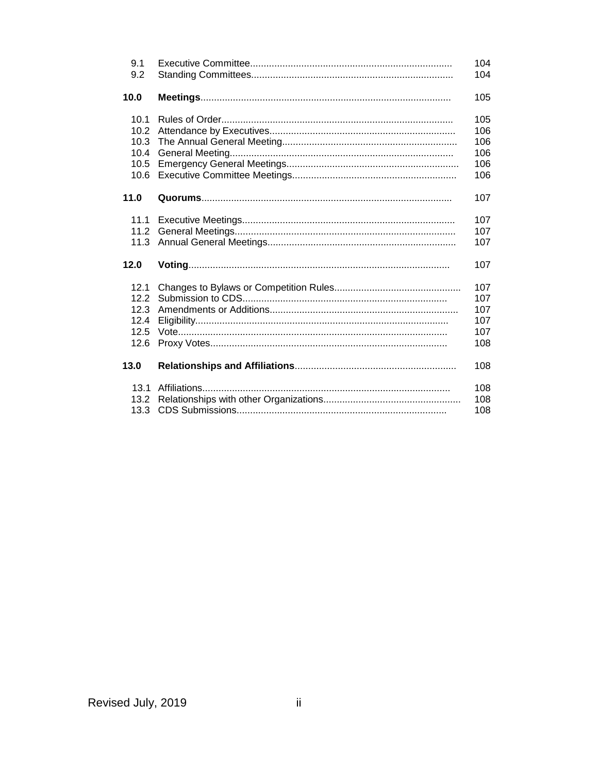| 9.1  | 104 |
|------|-----|
| 9.2  | 104 |
| 10.0 | 105 |
| 10.1 | 105 |
| 10.2 | 106 |
| 10.3 | 106 |
| 10.4 | 106 |
| 10.5 | 106 |
| 10.6 | 106 |
| 11.0 | 107 |
| 11.1 | 107 |
| 11.2 | 107 |
| 11.3 | 107 |
| 12.0 | 107 |
| 12.1 | 107 |
| 12.2 | 107 |
| 12.3 | 107 |
| 12.4 | 107 |
| 12.5 | 107 |
| 12.6 | 108 |
| 13.0 | 108 |
| 13.1 | 108 |
| 13.2 | 108 |
| 13.3 | 108 |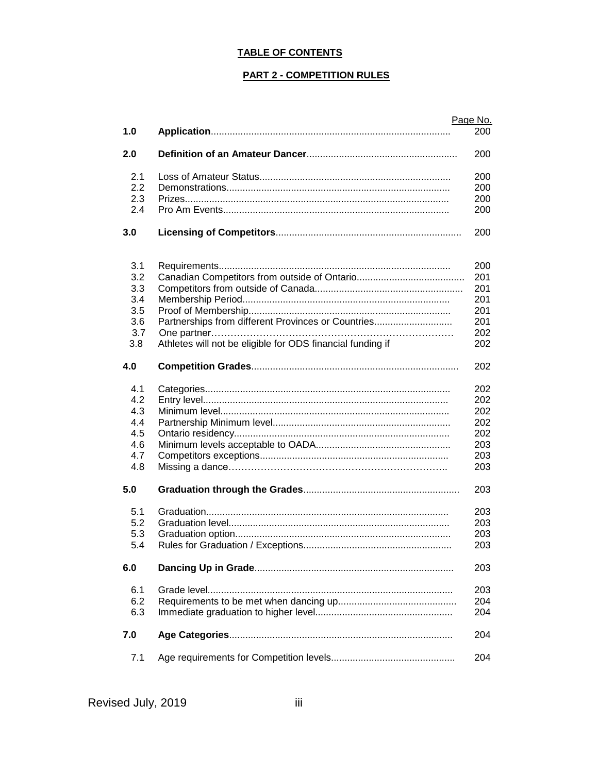## **TABLE OF CONTENTS**

#### **PART 2 - COMPETITION RULES**

|     |                                                            | Page No. |
|-----|------------------------------------------------------------|----------|
| 1.0 |                                                            | 200      |
| 2.0 |                                                            | 200      |
| 2.1 |                                                            | 200      |
| 2.2 |                                                            | 200      |
| 2.3 |                                                            | 200      |
| 2.4 |                                                            | 200      |
| 3.0 |                                                            | 200      |
| 3.1 |                                                            | 200      |
| 3.2 |                                                            | 201      |
| 3.3 |                                                            | 201      |
| 3.4 |                                                            | 201      |
|     |                                                            |          |
| 3.5 |                                                            | 201      |
| 3.6 | Partnerships from different Provinces or Countries         | 201      |
| 3.7 |                                                            | 202      |
| 3.8 | Athletes will not be eligible for ODS financial funding if | 202      |
| 4.0 |                                                            | 202      |
| 4.1 |                                                            | 202      |
| 4.2 |                                                            | 202      |
| 4.3 |                                                            | 202      |
| 4.4 |                                                            | 202      |
| 4.5 |                                                            | 202      |
| 4.6 |                                                            | 203      |
| 4.7 |                                                            |          |
|     |                                                            | 203      |
| 4.8 |                                                            | 203      |
| 5.0 |                                                            | 203      |
| 5.1 |                                                            | 203      |
| 5.2 |                                                            | 203      |
| 5.3 |                                                            | 203      |
| 5.4 |                                                            | 203      |
| 6.0 |                                                            | 203      |
| 6.1 |                                                            | 203      |
| 6.2 |                                                            | 204      |
| 6.3 |                                                            | 204      |
|     |                                                            |          |
| 7.0 |                                                            | 204      |
| 7.1 |                                                            | 204      |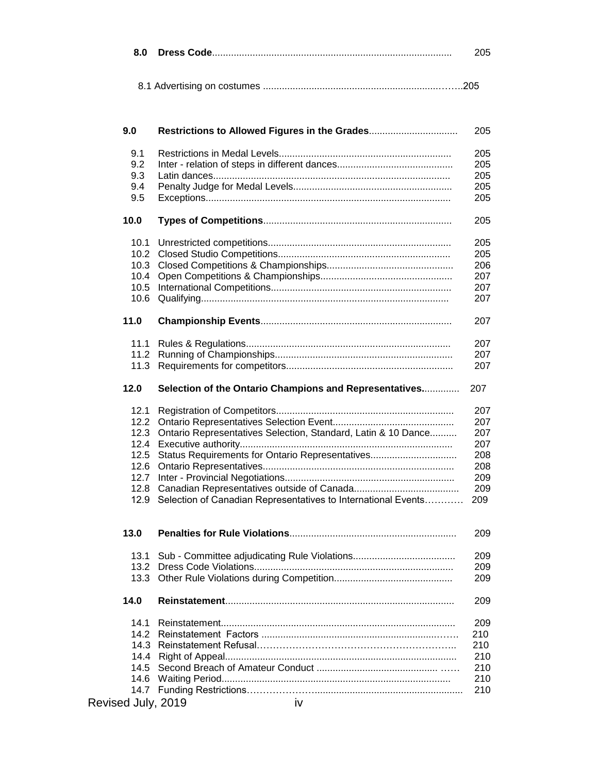8.1 Advertising on costumes .................................................................……..205

| 9.0  | Restrictions to Allowed Figures in the Grades                 | 205 |
|------|---------------------------------------------------------------|-----|
| 9.1  |                                                               | 205 |
| 9.2  |                                                               | 205 |
| 9.3  |                                                               | 205 |
| 9.4  |                                                               | 205 |
| 9.5  |                                                               | 205 |
|      |                                                               |     |
| 10.0 |                                                               | 205 |
| 10.1 |                                                               | 205 |
| 10.2 |                                                               | 205 |
| 10.3 |                                                               | 206 |
| 10.4 |                                                               | 207 |
| 10.5 |                                                               | 207 |
| 10.6 |                                                               | 207 |
| 11.0 |                                                               | 207 |
| 11.1 |                                                               | 207 |
| 11.2 |                                                               | 207 |
| 11.3 |                                                               | 207 |
| 12.0 | Selection of the Ontario Champions and Representatives        | 207 |
| 12.1 |                                                               | 207 |
| 12.2 |                                                               | 207 |
| 12.3 | Ontario Representatives Selection, Standard, Latin & 10 Dance | 207 |
| 12.4 |                                                               | 207 |
| 12.5 | Status Requirements for Ontario Representatives               | 208 |
|      |                                                               |     |
| 12.6 |                                                               | 208 |
| 12.7 |                                                               | 209 |
| 12.8 |                                                               | 209 |
| 12.9 | Selection of Canadian Representatives to International Events | 209 |
| 13.0 |                                                               | 209 |
|      | 13.1 Sub - Committee adjudicating Rule Violations.            | 209 |
|      |                                                               | 209 |
|      |                                                               | 209 |
| 14.0 |                                                               | 209 |
| 14.1 |                                                               | 209 |
| 14.2 |                                                               | 210 |
| 14.3 |                                                               | 210 |
|      |                                                               |     |
|      |                                                               | 210 |
| 14.5 |                                                               | 210 |
|      |                                                               | 210 |
| 14.7 |                                                               | 210 |

# Revised July, 2019 **ivarily**